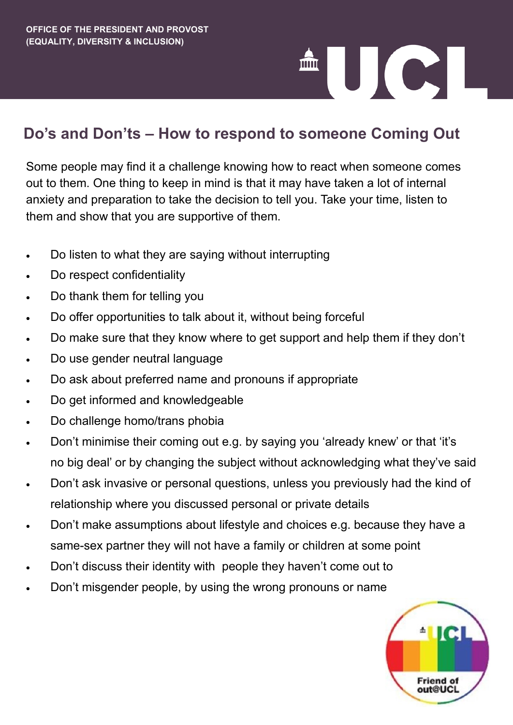# 

# **Do's and Don'ts – How to respond to someone Coming Out**

Some people may find it a challenge knowing how to react when someone comes out to them. One thing to keep in mind is that it may have taken a lot of internal anxiety and preparation to take the decision to tell you. Take your time, listen to them and show that you are supportive of them.

- Do listen to what they are saying without interrupting
- Do respect confidentiality
- Do thank them for telling you
- Do offer opportunities to talk about it, without being forceful
- Do make sure that they know where to get support and help them if they don't
- Do use gender neutral language
- Do ask about preferred name and pronouns if appropriate
- Do get informed and knowledgeable
- Do challenge homo/trans phobia
- Don't minimise their coming out e.g. by saying you 'already knew' or that 'it's no big deal' or by changing the subject without acknowledging what they've said
- Don't ask invasive or personal questions, unless you previously had the kind of relationship where you discussed personal or private details
- Don't make assumptions about lifestyle and choices e.g. because they have a same-sex partner they will not have a family or children at some point
- Don't discuss their identity with people they haven't come out to
- Don't misgender people, by using the wrong pronouns or name